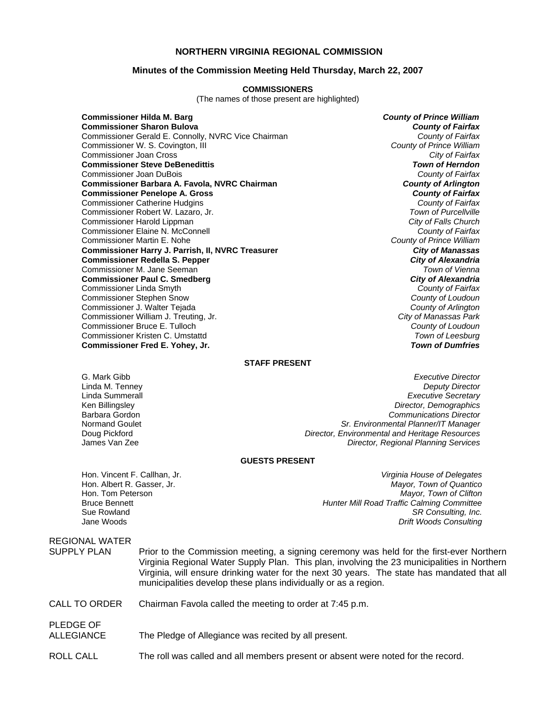## **NORTHERN VIRGINIA REGIONAL COMMISSION**

### **Minutes of the Commission Meeting Held Thursday, March 22, 2007**

#### **COMMISSIONERS**

(The names of those present are highlighted)

**Commissioner Hilda M. Barg** *County of Prince William* **Commissioner Sharon Bulova** *County of Fairfax* Commissioner Gerald E. Connolly, NVRC Vice Chairman *County of Fairfax* Commissioner W. S. Covington, III *County of Prince William* Commissioner Joan Cross *City of Fairfax* **Commissioner Steve DeBenedittis** *Town of Herndon* Commissioner Joan DuBois *County of Fairfax* **Commissioner Barbara A. Favola, NVRC Chairman** *County of Arlington* **Commissioner Penelope A. Gross** *County of Fairfax* Commissioner Catherine Hudgins *County of Fairfax* Commissioner Robert W. Lazaro, Jr. *Town of Purcellville* Commissioner Harold Lippman *City of Falls Church* Commissioner Elaine N. McConnell *County of Fairfax* Commissioner Martin E. Nohe *County of Prince William* **Commissioner Harry J. Parrish, II, NVRC Treasurer** *City of Manassas* **Commissioner Redella S. Pepper** *City of Alexandria* Commissioner M. Jane Seeman *Town of Vienna* **Commissioner Paul C. Smedberg** Commissioner Linda Smyth *County of Fairfax* Commissioner Stephen Snow *County of Loudoun* Commissioner J. Walter Tejada *County of Arlington* Commissioner William J. Treuting, Jr. *City of Manassas Park* Commissioner Bruce E. Tulloch *County of Loudoun* Commissioner Kristen C. Umstattd *Town of Leesburg* **Commissioner Fred E. Yohey, Jr.** 

### **STAFF PRESENT**

G. Mark Gibb *Executive Director* **Deputy Director** Linda Summerall *Executive Secretary* Ken Billingsley *Director, Demographics* Barbara Gordon *Communications Director* Normand Goulet *Sr. Environmental Planner/IT Manager* Doug Pickford *Director, Environmental and Heritage Resources* James Van Zee *Director, Regional Planning Services*

#### **GUESTS PRESENT**

Hon. Albert R. Gasser, Jr.<br>Hon. Tom Peterson

Hon. Vincent F. Callhan, Jr. *Virginia House of Delegates* **Mayor, Town of Clifton** Bruce Bennett *Hunter Mill Road Traffic Calming Committee*  Sue Rowland *SR Consulting, Inc.*  **Drift Woods Consulting** 

# REGIONAL WATER SUPPLY PLAN Prior to the Commission meeting, a signing ceremony was held for the first-ever Northern Virginia Regional Water Supply Plan. This plan, involving the 23 municipalities in Northern Virginia, will ensure drinking water for the next 30 years. The state has mandated that all municipalities develop these plans individually or as a region. CALL TO ORDER Chairman Favola called the meeting to order at 7:45 p.m. PLEDGE OF

## ALLEGIANCE The Pledge of Allegiance was recited by all present.

ROLL CALL The roll was called and all members present or absent were noted for the record.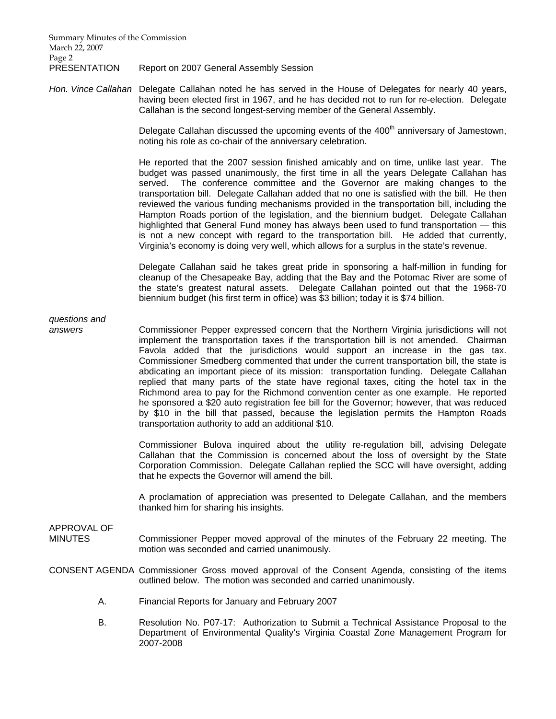Summary Minutes of the Commission March 22, 2007 Page 2

PRESENTATION Report on 2007 General Assembly Session

*Hon. Vince Callahan* Delegate Callahan noted he has served in the House of Delegates for nearly 40 years, having been elected first in 1967, and he has decided not to run for re-election. Delegate Callahan is the second longest-serving member of the General Assembly.

> Delegate Callahan discussed the upcoming events of the 400<sup>th</sup> anniversary of Jamestown, noting his role as co-chair of the anniversary celebration.

> He reported that the 2007 session finished amicably and on time, unlike last year. The budget was passed unanimously, the first time in all the years Delegate Callahan has served. The conference committee and the Governor are making changes to the transportation bill. Delegate Callahan added that no one is satisfied with the bill. He then reviewed the various funding mechanisms provided in the transportation bill, including the Hampton Roads portion of the legislation, and the biennium budget. Delegate Callahan highlighted that General Fund money has always been used to fund transportation — this is not a new concept with regard to the transportation bill. He added that currently, Virginia's economy is doing very well, which allows for a surplus in the state's revenue.

> Delegate Callahan said he takes great pride in sponsoring a half-million in funding for cleanup of the Chesapeake Bay, adding that the Bay and the Potomac River are some of the state's greatest natural assets. Delegate Callahan pointed out that the 1968-70 biennium budget (his first term in office) was \$3 billion; today it is \$74 billion.

# *questions and*

*answers* Commissioner Pepper expressed concern that the Northern Virginia jurisdictions will not implement the transportation taxes if the transportation bill is not amended. Chairman Favola added that the jurisdictions would support an increase in the gas tax. Commissioner Smedberg commented that under the current transportation bill, the state is abdicating an important piece of its mission: transportation funding. Delegate Callahan replied that many parts of the state have regional taxes, citing the hotel tax in the Richmond area to pay for the Richmond convention center as one example. He reported he sponsored a \$20 auto registration fee bill for the Governor; however, that was reduced by \$10 in the bill that passed, because the legislation permits the Hampton Roads transportation authority to add an additional \$10.

> Commissioner Bulova inquired about the utility re-regulation bill, advising Delegate Callahan that the Commission is concerned about the loss of oversight by the State Corporation Commission. Delegate Callahan replied the SCC will have oversight, adding that he expects the Governor will amend the bill.

> A proclamation of appreciation was presented to Delegate Callahan, and the members thanked him for sharing his insights.

# APPROVAL OF

MINUTES Commissioner Pepper moved approval of the minutes of the February 22 meeting. The motion was seconded and carried unanimously.

CONSENT AGENDA Commissioner Gross moved approval of the Consent Agenda, consisting of the items outlined below. The motion was seconded and carried unanimously.

- A. Financial Reports for January and February 2007
- B. Resolution No. P07-17: Authorization to Submit a Technical Assistance Proposal to the Department of Environmental Quality's Virginia Coastal Zone Management Program for 2007-2008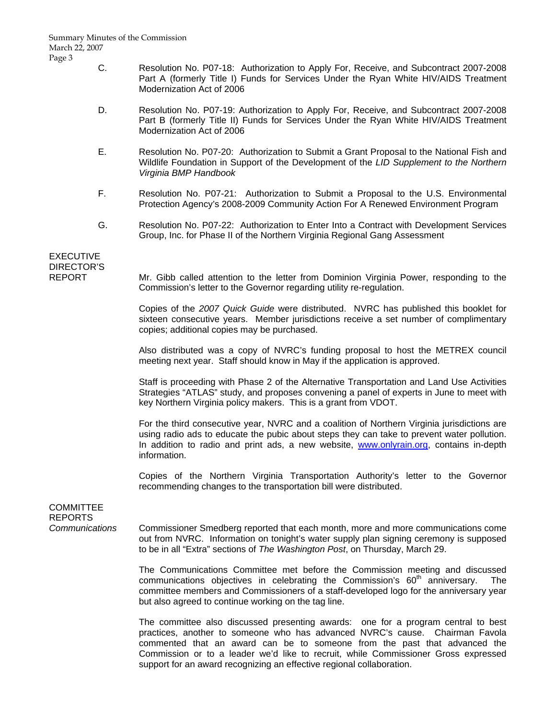- C. Resolution No. P07-18: Authorization to Apply For, Receive, and Subcontract 2007-2008 Part A (formerly Title I) Funds for Services Under the Ryan White HIV/AIDS Treatment Modernization Act of 2006
- D. Resolution No. P07-19: Authorization to Apply For, Receive, and Subcontract 2007-2008 Part B (formerly Title II) Funds for Services Under the Ryan White HIV/AIDS Treatment Modernization Act of 2006
- E. Resolution No. P07-20: Authorization to Submit a Grant Proposal to the National Fish and Wildlife Foundation in Support of the Development of the *LID Supplement to the Northern Virginia BMP Handbook*
- F. Resolution No. P07-21: Authorization to Submit a Proposal to the U.S. Environmental Protection Agency's 2008-2009 Community Action For A Renewed Environment Program
- G. Resolution No. P07-22: Authorization to Enter Into a Contract with Development Services Group, Inc. for Phase II of the Northern Virginia Regional Gang Assessment

# EXECUTIVE DIRECTOR'S

REPORT Mr. Gibb called attention to the letter from Dominion Virginia Power, responding to the Commission's letter to the Governor regarding utility re-regulation.

> Copies of the *2007 Quick Guide* were distributed. NVRC has published this booklet for sixteen consecutive years. Member jurisdictions receive a set number of complimentary copies; additional copies may be purchased.

> Also distributed was a copy of NVRC's funding proposal to host the METREX council meeting next year. Staff should know in May if the application is approved.

> Staff is proceeding with Phase 2 of the Alternative Transportation and Land Use Activities Strategies "ATLAS" study, and proposes convening a panel of experts in June to meet with key Northern Virginia policy makers. This is a grant from VDOT.

> For the third consecutive year, NVRC and a coalition of Northern Virginia jurisdictions are using radio ads to educate the pubic about steps they can take to prevent water pollution. In addition to radio and print ads, a new website, www.onlyrain.org, contains in-depth information.

> Copies of the Northern Virginia Transportation Authority's letter to the Governor recommending changes to the transportation bill were distributed.

## **COMMITTEE** REPORTS

*Communications* Commissioner Smedberg reported that each month, more and more communications come out from NVRC. Information on tonight's water supply plan signing ceremony is supposed to be in all "Extra" sections of *The Washington Post*, on Thursday, March 29.

> The Communications Committee met before the Commission meeting and discussed communications objectives in celebrating the Commission's  $60<sup>th</sup>$  anniversary. The committee members and Commissioners of a staff-developed logo for the anniversary year but also agreed to continue working on the tag line.

> The committee also discussed presenting awards: one for a program central to best practices, another to someone who has advanced NVRC's cause. Chairman Favola commented that an award can be to someone from the past that advanced the Commission or to a leader we'd like to recruit, while Commissioner Gross expressed support for an award recognizing an effective regional collaboration.